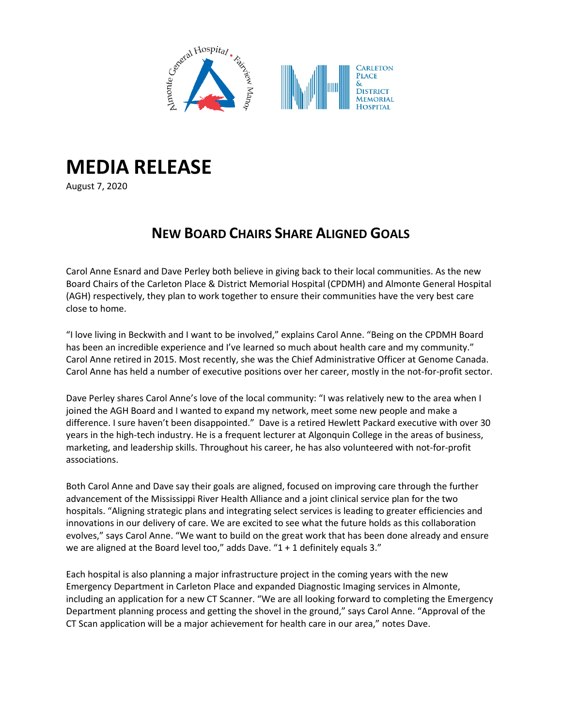

## **MEDIA RELEASE**

August 7, 2020

## **NEW BOARD CHAIRS SHARE ALIGNED GOALS**

Carol Anne Esnard and Dave Perley both believe in giving back to their local communities. As the new Board Chairs of the Carleton Place & District Memorial Hospital (CPDMH) and Almonte General Hospital (AGH) respectively, they plan to work together to ensure their communities have the very best care close to home.

"I love living in Beckwith and I want to be involved," explains Carol Anne. "Being on the CPDMH Board has been an incredible experience and I've learned so much about health care and my community." Carol Anne retired in 2015. Most recently, she was the Chief Administrative Officer at Genome Canada. Carol Anne has held a number of executive positions over her career, mostly in the not-for-profit sector.

Dave Perley shares Carol Anne's love of the local community: "I was relatively new to the area when I joined the AGH Board and I wanted to expand my network, meet some new people and make a difference. I sure haven't been disappointed." Dave is a retired Hewlett Packard executive with over 30 years in the high-tech industry. He is a frequent lecturer at Algonquin College in the areas of business, marketing, and leadership skills. Throughout his career, he has also volunteered with not-for-profit associations.

Both Carol Anne and Dave say their goals are aligned, focused on improving care through the further advancement of the Mississippi River Health Alliance and a joint clinical service plan for the two hospitals. "Aligning strategic plans and integrating select services is leading to greater efficiencies and innovations in our delivery of care. We are excited to see what the future holds as this collaboration evolves," says Carol Anne. "We want to build on the great work that has been done already and ensure we are aligned at the Board level too," adds Dave. "1 + 1 definitely equals 3."

Each hospital is also planning a major infrastructure project in the coming years with the new Emergency Department in Carleton Place and expanded Diagnostic Imaging services in Almonte, including an application for a new CT Scanner. "We are all looking forward to completing the Emergency Department planning process and getting the shovel in the ground," says Carol Anne. "Approval of the CT Scan application will be a major achievement for health care in our area," notes Dave.